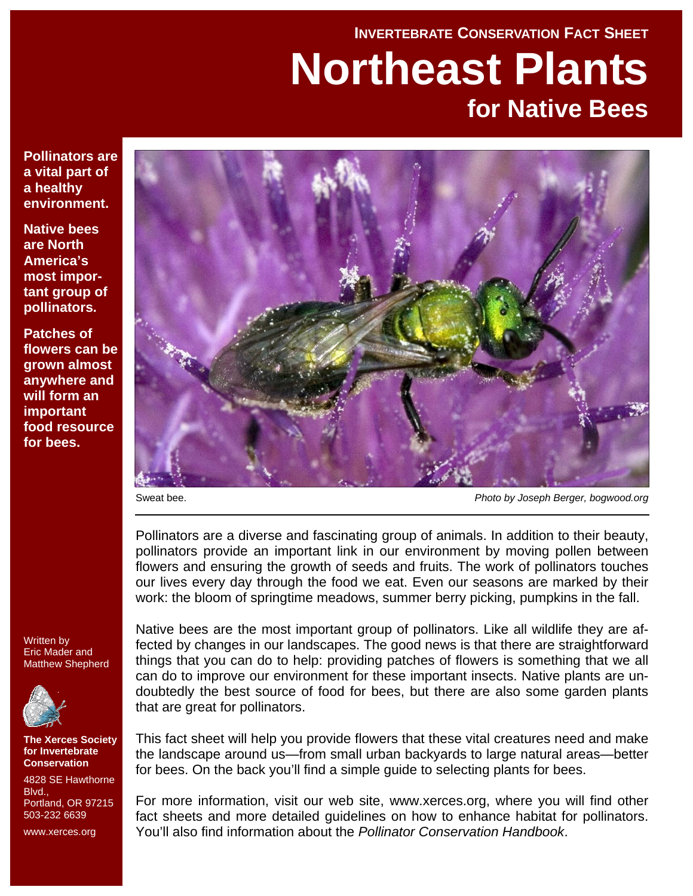# **INVERTEBRATE CONSERVATION FACT SHEET Northeast Plants for Native Bees**

**Pollinators are a vital part of a healthy environment.** 

**Native bees are North America's most important group of pollinators.** 

**Patches of flowers can be grown almost anywhere and will form an important food resource for bees.** 



Sweat bee. *Photo by Joseph Berger, bogwood.org*

Pollinators are a diverse and fascinating group of animals. In addition to their beauty, pollinators provide an important link in our environment by moving pollen between flowers and ensuring the growth of seeds and fruits. The work of pollinators touches our lives every day through the food we eat. Even our seasons are marked by their work: the bloom of springtime meadows, summer berry picking, pumpkins in the fall.

Written by Eric Mader and Matthew Shepherd



**The Xerces Society for Invertebrate Conservation** 

4828 SE Hawthorne **Blvd.** Portland, OR 97215 503-232 6639

www.xerces.org

Native bees are the most important group of pollinators. Like all wildlife they are affected by changes in our landscapes. The good news is that there are straightforward things that you can do to help: providing patches of flowers is something that we all can do to improve our environment for these important insects. Native plants are undoubtedly the best source of food for bees, but there are also some garden plants that are great for pollinators.

This fact sheet will help you provide flowers that these vital creatures need and make the landscape around us—from small urban backyards to large natural areas—better for bees. On the back you'll find a simple guide to selecting plants for bees.

For more information, visit our web site, www.xerces.org, where you will find other fact sheets and more detailed guidelines on how to enhance habitat for pollinators. You'll also find information about the *Pollinator Conservation Handbook*.